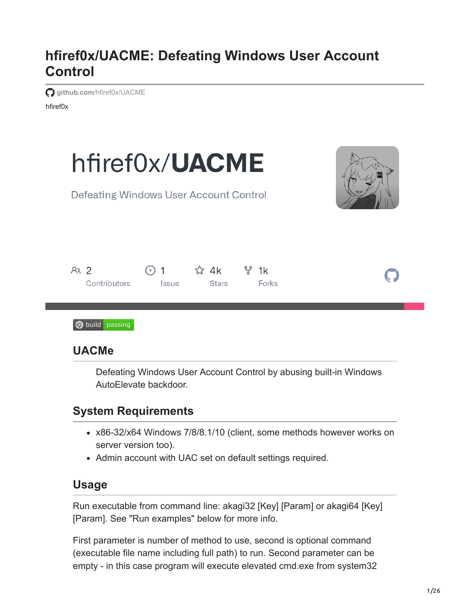# **hfiref0x/UACME: Defeating Windows User Account Control**

**github.com**[/hfiref0x/UACME](https://github.com/hfiref0x/UACME)

hfiref0x



Defeating Windows User Account Control by abusing built-in Windows AutoElevate backdoor.

## **System Requirements**

- x86-32/x64 Windows 7/8/8.1/10 (client, some methods however works on server version too).
- Admin account with UAC set on default settings required.

## **Usage**

Run executable from command line: akagi32 [Key] [Param] or akagi64 [Key] [Param]. See "Run examples" below for more info.

First parameter is number of method to use, second is optional command (executable file name including full path) to run. Second parameter can be empty - in this case program will execute elevated cmd.exe from system32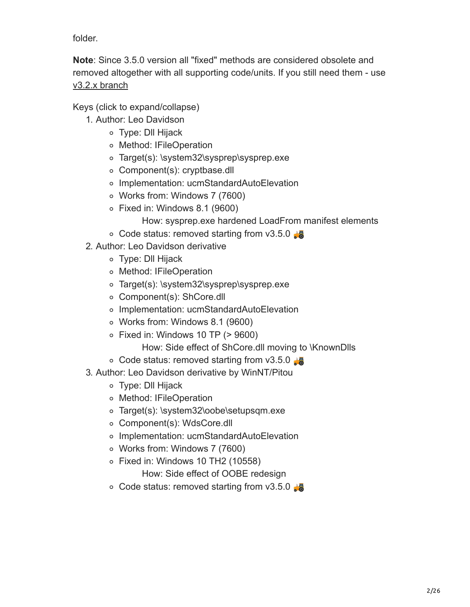folder.

**Note**: Since 3.5.0 version all "fixed" methods are considered obsolete and removed altogether with all supporting code/units. If you still need them - use [v3.2.x branch](https://github.com/hfiref0x/UACME/tree/v3.2.x)

Keys (click to expand/collapse)

- 1. Author: Leo Davidson
	- Type: Dll Hijack
	- Method: IFileOperation
	- Target(s): \system32\sysprep\sysprep.exe
	- Component(s): cryptbase.dll
	- Implementation: ucmStandardAutoElevation
	- Works from: Windows 7 (7600)
	- Fixed in: Windows 8.1 (9600)
		- How: sysprep.exe hardened LoadFrom manifest elements
	- $\circ$  Code status: removed starting from v3.5.0
- 2. Author: Leo Davidson derivative
	- Type: Dll Hijack
	- Method: IFileOperation
	- Target(s): \system32\sysprep\sysprep.exe
	- Component(s): ShCore.dll
	- Implementation: ucmStandardAutoElevation
	- Works from: Windows 8.1 (9600)
	- $\circ$  Fixed in: Windows 10 TP ( $> 9600$ )

How: Side effect of ShCore.dll moving to \KnownDlls

- $\circ$  Code status: removed starting from v3.5.0
- 3. Author: Leo Davidson derivative by WinNT/Pitou
	- Type: Dll Hijack
	- Method: IFileOperation
	- Target(s): \system32\oobe\setupsqm.exe
	- Component(s): WdsCore.dll
	- Implementation: ucmStandardAutoElevation
	- Works from: Windows 7 (7600)
	- $\circ$  Fixed in: Windows 10 TH2 (10558)

How: Side effect of OOBE redesign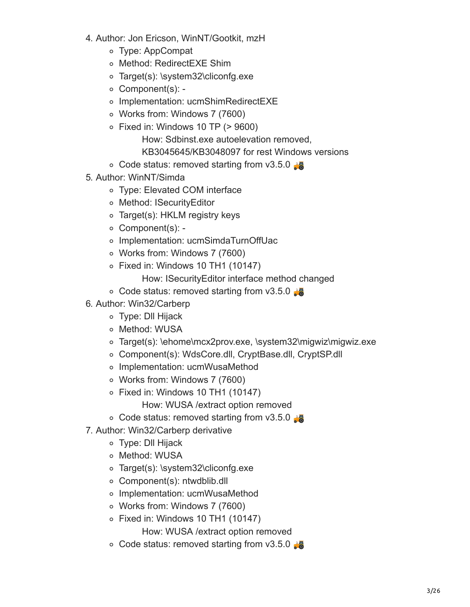- 4. Author: Jon Ericson, WinNT/Gootkit, mzH
	- Type: AppCompat
	- Method: RedirectEXE Shim
	- Target(s): \system32\cliconfg.exe
	- Component(s): -
	- o Implementation: ucmShimRedirectEXE
	- Works from: Windows 7 (7600)
	- $\circ$  Fixed in: Windows 10 TP ( $> 9600$ )
		- How: Sdbinst.exe autoelevation removed,
		- KB3045645/KB3048097 for rest Windows versions
	- $\circ$  Code status: removed starting from v3.5.0
- 5. Author: WinNT/Simda
	- Type: Elevated COM interface
	- Method: ISecurityEditor
	- Target(s): HKLM registry keys
	- Component(s): -
	- o Implementation: ucmSimdaTurnOffUac
	- Works from: Windows 7 (7600)
	- $\circ$  Fixed in: Windows 10 TH1 (10147)
		- How: ISecurityEditor interface method changed
	- $\circ$  Code status: removed starting from v3.5.0
- 6. Author: Win32/Carberp
	- Type: Dll Hijack
	- o Method: WUSA
	- Target(s): \ehome\mcx2prov.exe, \system32\migwiz\migwiz.exe
	- Component(s): WdsCore.dll, CryptBase.dll, CryptSP.dll
	- Implementation: ucmWusaMethod
	- Works from: Windows 7 (7600)
	- $\circ$  Fixed in: Windows 10 TH1 (10147)
		- How: WUSA /extract option removed
	- $\circ$  Code status: removed starting from v3.5.0
- 7. Author: Win32/Carberp derivative
	- Type: Dll Hijack
	- o Method: WUSA
	- Target(s): \system32\cliconfg.exe
	- Component(s): ntwdblib.dll
	- Implementation: ucmWusaMethod
	- Works from: Windows 7 (7600)
	- $\circ$  Fixed in: Windows 10 TH1 (10147) How: WUSA /extract option removed
	- $\circ$  Code status: removed starting from v3.5.0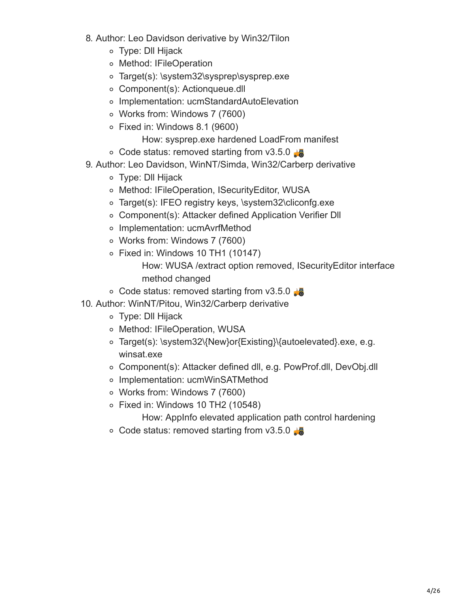- 8. Author: Leo Davidson derivative by Win32/Tilon
	- Type: Dll Hijack
	- o Method: IFileOperation
	- Target(s): \system32\sysprep\sysprep.exe
	- Component(s): Actionqueue.dll
	- Implementation: ucmStandardAutoElevation
	- Works from: Windows 7 (7600)
	- Fixed in: Windows 8.1 (9600)
		- How: sysprep.exe hardened LoadFrom manifest
	- $\circ$  Code status: removed starting from v3.5.0
- 9. Author: Leo Davidson, WinNT/Simda, Win32/Carberp derivative
	- Type: Dll Hijack
	- Method: IFileOperation, ISecurityEditor, WUSA
	- Target(s): IFEO registry keys, \system32\cliconfg.exe
	- Component(s): Attacker defined Application Verifier Dll
	- Implementation: ucmAvrfMethod
	- Works from: Windows 7 (7600)
	- $\circ$  Fixed in: Windows 10 TH1 (10147) How: WUSA /extract option removed, ISecurityEditor interface method changed
	- $\circ$  Code status: removed starting from v3.5.0
- 10. Author: WinNT/Pitou, Win32/Carberp derivative
	- Type: Dll Hijack
	- o Method: IFileOperation, WUSA
	- Target(s): \system32\{New}or{Existing}\{autoelevated}.exe, e.g. winsat.exe
	- Component(s): Attacker defined dll, e.g. PowProf.dll, DevObj.dll
	- o Implementation: ucmWinSATMethod
	- Works from: Windows 7 (7600)
	- $\circ$  Fixed in: Windows 10 TH2 (10548)

How: AppInfo elevated application path control hardening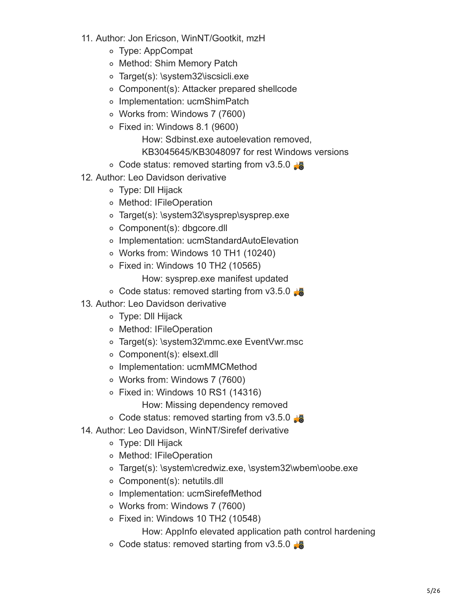- 11. Author: Jon Ericson, WinNT/Gootkit, mzH
	- Type: AppCompat
	- o Method: Shim Memory Patch
	- Target(s): \system32\iscsicli.exe
	- Component(s): Attacker prepared shellcode
	- Implementation: ucmShimPatch
	- Works from: Windows 7 (7600)
	- Fixed in: Windows 8.1 (9600)
		- How: Sdbinst.exe autoelevation removed, KB3045645/KB3048097 for rest Windows versions
	- $\circ$  Code status: removed starting from v3.5.0
- 12. Author: Leo Davidson derivative
	- Type: Dll Hijack
	- o Method: IFileOperation
	- Target(s): \system32\sysprep\sysprep.exe
	- Component(s): dbgcore.dll
	- Implementation: ucmStandardAutoElevation
	- Works from: Windows 10 TH1 (10240)
	- $\circ$  Fixed in: Windows 10 TH2 (10565)
		- How: sysprep.exe manifest updated
	- $\circ$  Code status: removed starting from v3.5.0
- 13. Author: Leo Davidson derivative
	- Type: Dll Hijack
	- Method: IFileOperation
	- Target(s): \system32\mmc.exe EventVwr.msc
	- Component(s): elsext.dll
	- Implementation: ucmMMCMethod
	- Works from: Windows 7 (7600)
	- Fixed in: Windows 10 RS1 (14316)
		- How: Missing dependency removed
	- $\circ$  Code status: removed starting from v3.5.0
- 14. Author: Leo Davidson, WinNT/Sirefef derivative
	- Type: Dll Hijack
	- Method: IFileOperation
	- Target(s): \system\credwiz.exe, \system32\wbem\oobe.exe
	- Component(s): netutils.dll
	- Implementation: ucmSirefefMethod
	- Works from: Windows 7 (7600)
	- $\circ$  Fixed in: Windows 10 TH2 (10548)

How: AppInfo elevated application path control hardening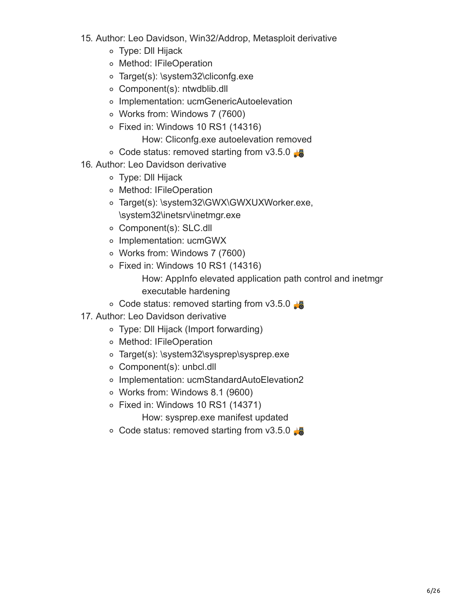- 15. Author: Leo Davidson, Win32/Addrop, Metasploit derivative
	- Type: Dll Hijack
	- o Method: IFileOperation
	- Target(s): \system32\cliconfg.exe
	- Component(s): ntwdblib.dll
	- Implementation: ucmGenericAutoelevation
	- Works from: Windows 7 (7600)
	- Fixed in: Windows 10 RS1 (14316)
		- How: Cliconfg.exe autoelevation removed
	- $\circ$  Code status: removed starting from v3.5.0
- 16. Author: Leo Davidson derivative
	- Type: Dll Hijack
	- o Method: IFileOperation
	- o Target(s): \system32\GWX\GWXUXWorker.exe, \system32\inetsrv\inetmgr.exe
	- Component(s): SLC.dll
	- Implementation: ucmGWX
	- Works from: Windows 7 (7600)
	- Fixed in: Windows 10 RS1 (14316)
		- How: AppInfo elevated application path control and inetmgr executable hardening
	- $\circ$  Code status: removed starting from v3.5.0
- 17. Author: Leo Davidson derivative
	- Type: Dll Hijack (Import forwarding)
	- o Method: IFileOperation
	- Target(s): \system32\sysprep\sysprep.exe
	- Component(s): unbcl.dll
	- Implementation: ucmStandardAutoElevation2
	- Works from: Windows 8.1 (9600)
	- Fixed in: Windows 10 RS1 (14371)
		- How: sysprep.exe manifest updated
	- $\circ$  Code status: removed starting from v3.5.0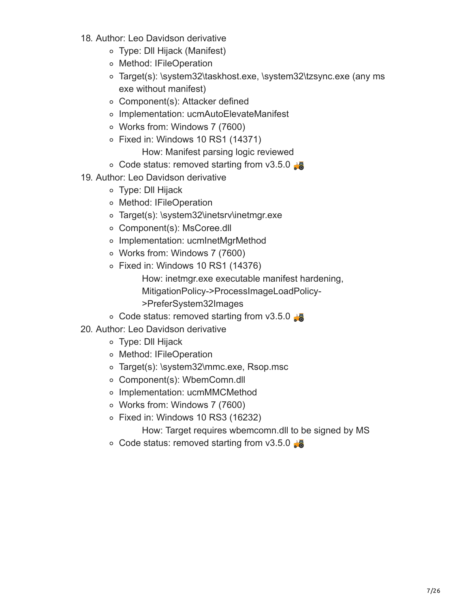- 18. Author: Leo Davidson derivative
	- Type: Dll Hijack (Manifest)
	- o Method: IFileOperation
	- Target(s): \system32\taskhost.exe, \system32\tzsync.exe (any ms exe without manifest)
	- Component(s): Attacker defined
	- Implementation: ucmAutoElevateManifest
	- Works from: Windows 7 (7600)
	- $\circ$  Fixed in: Windows 10 RS1 (14371)

How: Manifest parsing logic reviewed

- $\circ$  Code status: removed starting from v3.5.0
- 19. Author: Leo Davidson derivative
	- Type: Dll Hijack
	- o Method: IFileOperation
	- Target(s): \system32\inetsrv\inetmgr.exe
	- Component(s): MsCoree.dll
	- Implementation: ucmInetMgrMethod
	- Works from: Windows 7 (7600)
	- $\circ$  Fixed in: Windows 10 RS1 (14376)
		- How: inetmgr.exe executable manifest hardening, MitigationPolicy->ProcessImageLoadPolicy- >PreferSystem32Images
	- $\circ$  Code status: removed starting from v3.5.0
- 20. Author: Leo Davidson derivative
	- Type: Dll Hijack
	- o Method: IFileOperation
	- Target(s): \system32\mmc.exe, Rsop.msc
	- Component(s): WbemComn.dll
	- o Implementation: ucmMMCMethod
	- Works from: Windows 7 (7600)
	- Fixed in: Windows 10 RS3 (16232)

How: Target requires wbemcomn.dll to be signed by MS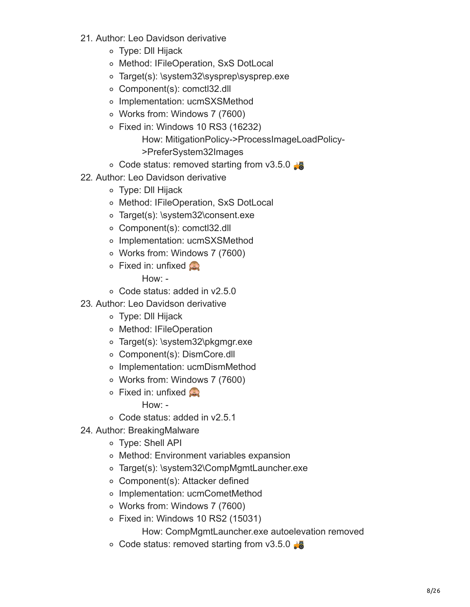- 21. Author: Leo Davidson derivative
	- Type: Dll Hijack
	- Method: IFileOperation, SxS DotLocal
	- Target(s): \system32\sysprep\sysprep.exe
	- Component(s): comctl32.dll
	- Implementation: ucmSXSMethod
	- Works from: Windows 7 (7600)
	- $\circ$  Fixed in: Windows 10 RS3 (16232) How: MitigationPolicy->ProcessImageLoadPolicy- >PreferSystem32Images
	- $\circ$  Code status: removed starting from v3.5.0
- 22. Author: Leo Davidson derivative
	- Type: Dll Hijack
	- Method: IFileOperation, SxS DotLocal
	- Target(s): \system32\consent.exe
	- Component(s): comctl32.dll
	- Implementation: ucmSXSMethod
	- Works from: Windows 7 (7600)
	- $\circ$  Fixed in: unfixed

- Code status: added in v2.5.0
- 23. Author: Leo Davidson derivative
	- Type: Dll Hijack
	- Method: IFileOperation
	- Target(s): \system32\pkgmgr.exe
	- Component(s): DismCore.dll
	- Implementation: ucmDismMethod
	- Works from: Windows 7 (7600)
	- **Fixed in: unfixed** 
		- How: -
	- Code status: added in v2.5.1
- 24. Author: BreakingMalware
	- Type: Shell API
	- Method: Environment variables expansion
	- Target(s): \system32\CompMgmtLauncher.exe
	- Component(s): Attacker defined
	- Implementation: ucmCometMethod
	- Works from: Windows 7 (7600)
	- $\circ$  Fixed in: Windows 10 RS2 (15031)

How: CompMgmtLauncher.exe autoelevation removed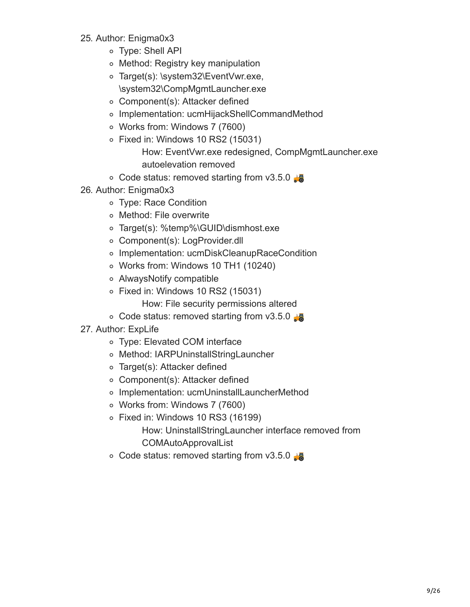- 25. Author: Enigma0x3
	- Type: Shell API
	- Method: Registry key manipulation
	- Target(s): \system32\EventVwr.exe, \system32\CompMgmtLauncher.exe
	- Component(s): Attacker defined
	- Implementation: ucmHijackShellCommandMethod
	- Works from: Windows 7 (7600)
	- $\circ$  Fixed in: Windows 10 RS2 (15031)

How: EventVwr.exe redesigned, CompMgmtLauncher.exe autoelevation removed

- $\circ$  Code status: removed starting from v3.5.0
- 26. Author: Enigma0x3
	- Type: Race Condition
	- o Method: File overwrite
	- Target(s): %temp%\GUID\dismhost.exe
	- Component(s): LogProvider.dll
	- Implementation: ucmDiskCleanupRaceCondition
	- Works from: Windows 10 TH1 (10240)
	- AlwaysNotify compatible
	- Fixed in: Windows 10 RS2 (15031)

How: File security permissions altered

- $\circ$  Code status: removed starting from v3.5.0
- 27. Author: ExpLife
	- Type: Elevated COM interface
	- Method: IARPUninstallStringLauncher
	- Target(s): Attacker defined
	- Component(s): Attacker defined
	- Implementation: ucmUninstallLauncherMethod
	- Works from: Windows 7 (7600)
	- $\circ$  Fixed in: Windows 10 RS3 (16199) How: UninstallStringLauncher interface removed from COMAutoApprovalList
	- $\circ$  Code status: removed starting from v3.5.0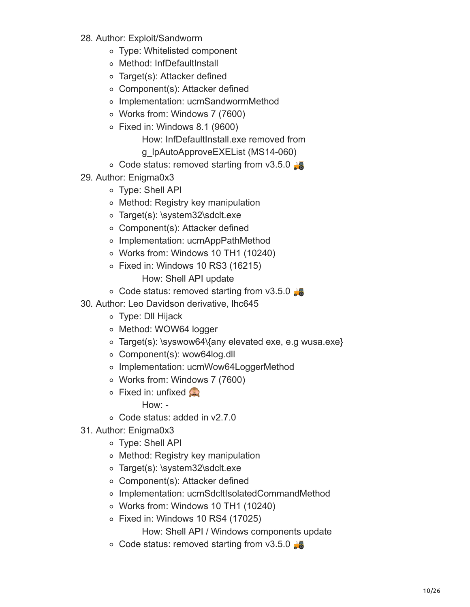- 28. Author: Exploit/Sandworm
	- Type: Whitelisted component
	- Method: InfDefaultInstall
	- Target(s): Attacker defined
	- Component(s): Attacker defined
	- o Implementation: ucmSandwormMethod
	- Works from: Windows 7 (7600)
	- Fixed in: Windows 8.1 (9600)
		- How: InfDefaultInstall.exe removed from g\_lpAutoApproveEXEList (MS14-060)
	- $\circ$  Code status: removed starting from v3.5.0
- 29. Author: Enigma0x3
	- Type: Shell API
	- Method: Registry key manipulation
	- o Target(s): \system32\sdclt.exe
	- Component(s): Attacker defined
	- Implementation: ucmAppPathMethod
	- Works from: Windows 10 TH1 (10240)
	- $\circ$  Fixed in: Windows 10 RS3 (16215) How: Shell API update
	- ∘ Code status: removed starting from v3.5.0
- 30. Author: Leo Davidson derivative, lhc645
	- Type: Dll Hijack
	- o Method: WOW64 logger
	- Target(s): \syswow64\{any elevated exe, e.g wusa.exe}
	- Component(s): wow64log.dll
	- o Implementation: ucmWow64LoggerMethod
	- Works from: Windows 7 (7600)
	- **Fixed in: unfixed** 
		- How: -
	- Code status: added in v2.7.0
- 31. Author: Enigma0x3
	- Type: Shell API
	- Method: Registry key manipulation
	- o Target(s): \system32\sdclt.exe
	- Component(s): Attacker defined
	- Implementation: ucmSdcltIsolatedCommandMethod
	- Works from: Windows 10 TH1 (10240)
	- $\circ$  Fixed in: Windows 10 RS4 (17025)

How: Shell API / Windows components update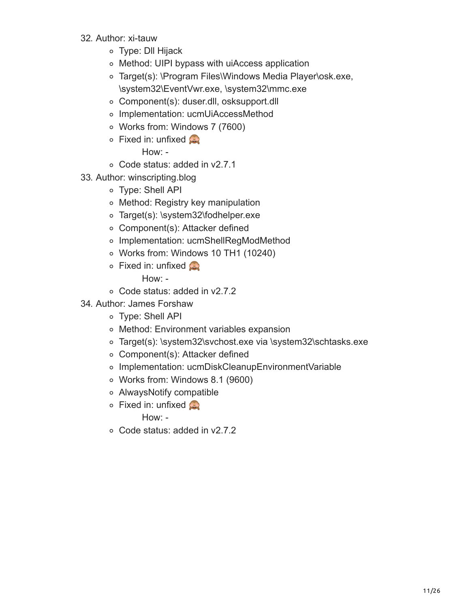- 32. Author: xi-tauw
	- Type: Dll Hijack
	- Method: UIPI bypass with uiAccess application
	- Target(s): \Program Files\Windows Media Player\osk.exe, \system32\EventVwr.exe, \system32\mmc.exe
	- Component(s): duser.dll, osksupport.dll
	- Implementation: ucmUiAccessMethod
	- Works from: Windows 7 (7600)
	- $\circ$  Fixed in: unfixed

- Code status: added in v2.7.1
- 33. Author: winscripting.blog
	- Type: Shell API
	- Method: Registry key manipulation
	- Target(s): \system32\fodhelper.exe
	- Component(s): Attacker defined
	- o Implementation: ucmShellRegModMethod
	- Works from: Windows 10 TH1 (10240)
	- $\circ$  Fixed in: unfixed

How: -

- Code status: added in v2.7.2
- 34. Author: James Forshaw
	- Type: Shell API
	- Method: Environment variables expansion
	- Target(s): \system32\svchost.exe via \system32\schtasks.exe
	- Component(s): Attacker defined
	- o Implementation: ucmDiskCleanupEnvironmentVariable
	- Works from: Windows 8.1 (9600)
	- AlwaysNotify compatible
	- $\circ$  Fixed in: unfixed

How: -

Code status: added in v2.7.2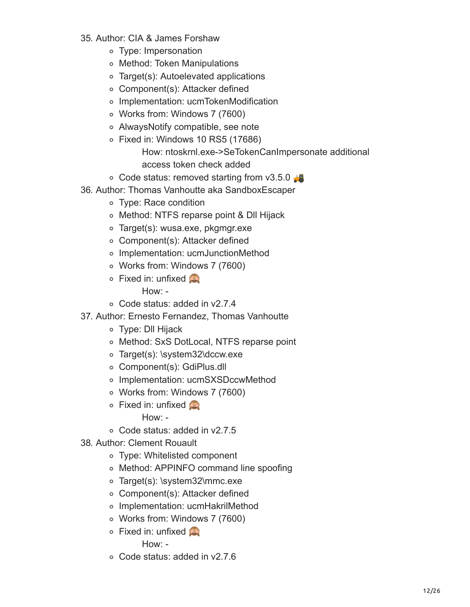- 35. Author: CIA & James Forshaw
	- Type: Impersonation
	- Method: Token Manipulations
	- Target(s): Autoelevated applications
	- Component(s): Attacker defined
	- Implementation: ucmTokenModification
	- Works from: Windows 7 (7600)
	- AlwaysNotify compatible, see note
	- $\circ$  Fixed in: Windows 10 RS5 (17686)

How: ntoskrnl.exe->SeTokenCanImpersonate additional access token check added

- $\circ$  Code status: removed starting from v3.5.0
- 36. Author: Thomas Vanhoutte aka SandboxEscaper
	- Type: Race condition
	- Method: NTFS reparse point & Dll Hijack
	- Target(s): wusa.exe, pkgmgr.exe
	- Component(s): Attacker defined
	- Implementation: ucmJunctionMethod
	- Works from: Windows 7 (7600)
	- **Fixed in: unfixed** How: -
	- Code status: added in v2.7.4
- 37. Author: Ernesto Fernandez, Thomas Vanhoutte
	- Type: Dll Hijack
	- Method: SxS DotLocal, NTFS reparse point
	- Target(s): \system32\dccw.exe
	- Component(s): GdiPlus.dll
	- o Implementation: ucmSXSDccwMethod
	- Works from: Windows 7 (7600)
	- $\circ$  Fixed in: unfixed
		- How: -
	- Code status: added in v2.7.5
- 38. Author: Clement Rouault
	- Type: Whitelisted component
	- Method: APPINFO command line spoofing
	- Target(s): \system32\mmc.exe
	- Component(s): Attacker defined
	- Implementation: ucmHakrilMethod
	- Works from: Windows 7 (7600)
	- $\circ$  Fixed in: unfixed

How: -

Code status: added in v2.7.6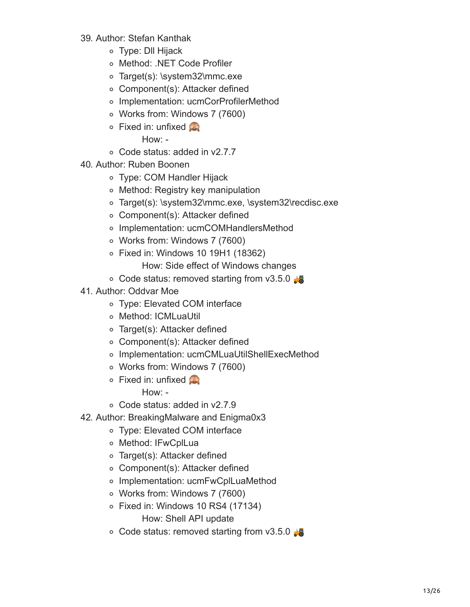- 39. Author: Stefan Kanthak
	- Type: Dll Hijack
	- Method: .NET Code Profiler
	- Target(s): \system32\mmc.exe
	- Component(s): Attacker defined
	- o Implementation: ucmCorProfilerMethod
	- Works from: Windows 7 (7600)
	- $\circ$  Fixed in: unfixed

- Code status: added in v2.7.7
- 40. Author: Ruben Boonen
	- Type: COM Handler Hijack
	- Method: Registry key manipulation
	- Target(s): \system32\mmc.exe, \system32\recdisc.exe
	- Component(s): Attacker defined
	- o Implementation: ucmCOMHandlersMethod
	- Works from: Windows 7 (7600)
	- Fixed in: Windows 10 19H1 (18362)
		- How: Side effect of Windows changes
	- $\circ$  Code status: removed starting from v3.5.0
- 41. Author: Oddvar Moe
	- Type: Elevated COM interface
	- o Method: ICMLuaUtil
	- Target(s): Attacker defined
	- Component(s): Attacker defined
	- o Implementation: ucmCMLuaUtilShellExecMethod
	- Works from: Windows 7 (7600)
	- $\circ$  Fixed in: unfixed

How: -

- Code status: added in v2.7.9
- 42. Author: BreakingMalware and Enigma0x3
	- Type: Elevated COM interface
	- o Method: IFwCplLua
	- Target(s): Attacker defined
	- Component(s): Attacker defined
	- o Implementation: ucmFwCplLuaMethod
	- Works from: Windows 7 (7600)
	- $\circ$  Fixed in: Windows 10 RS4 (17134) How: Shell API update
	- $\circ$  Code status: removed starting from v3.5.0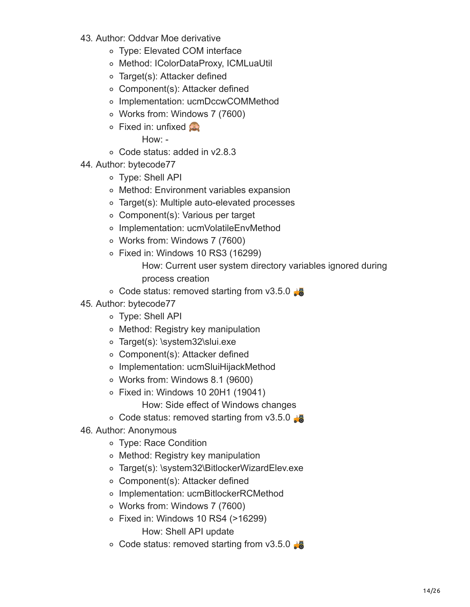- 43. Author: Oddvar Moe derivative
	- Type: Elevated COM interface
	- Method: IColorDataProxy, ICMLuaUtil
	- Target(s): Attacker defined
	- Component(s): Attacker defined
	- o Implementation: ucmDccwCOMMethod
	- Works from: Windows 7 (7600)
	- $\circ$  Fixed in: unfixed

- Code status: added in v2.8.3
- 44. Author: bytecode77
	- Type: Shell API
	- Method: Environment variables expansion
	- Target(s): Multiple auto-elevated processes
	- Component(s): Various per target
	- o Implementation: ucmVolatileEnvMethod
	- Works from: Windows 7 (7600)
	- $\circ$  Fixed in: Windows 10 RS3 (16299)

How: Current user system directory variables ignored during process creation

- $\circ$  Code status: removed starting from v3.5.0
- 45. Author: bytecode77
	- Type: Shell API
	- Method: Registry key manipulation
	- o Target(s): \system32\slui.exe
	- Component(s): Attacker defined
	- Implementation: ucmSluiHijackMethod
	- Works from: Windows 8.1 (9600)
	- Fixed in: Windows 10 20H1 (19041)

How: Side effect of Windows changes

- $\circ$  Code status: removed starting from v3.5.0
- 46. Author: Anonymous
	- Type: Race Condition
	- Method: Registry key manipulation
	- Target(s): \system32\BitlockerWizardElev.exe
	- Component(s): Attacker defined
	- o Implementation: ucmBitlockerRCMethod
	- Works from: Windows 7 (7600)
	- Fixed in: Windows 10 RS4 (>16299) How: Shell API update
	- $\circ$  Code status: removed starting from v3.5.0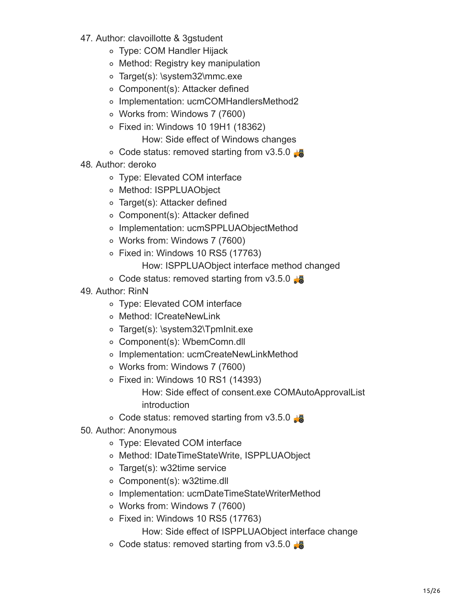- 47. Author: clavoillotte & 3gstudent
	- Type: COM Handler Hijack
	- Method: Registry key manipulation
	- o Target(s): \system32\mmc.exe
	- Component(s): Attacker defined
	- o Implementation: ucmCOMHandlersMethod2
	- Works from: Windows 7 (7600)
	- Fixed in: Windows 10 19H1 (18362)
		- How: Side effect of Windows changes
	- $\circ$  Code status: removed starting from v3.5.0
- 48. Author: deroko
	- Type: Elevated COM interface
	- o Method: ISPPLUAObject
	- Target(s): Attacker defined
	- Component(s): Attacker defined
	- o Implementation: ucmSPPLUAObjectMethod
	- Works from: Windows 7 (7600)
	- $\circ$  Fixed in: Windows 10 RS5 (17763)
		- How: ISPPLUAObject interface method changed
	- $\circ$  Code status: removed starting from v3.5.0
- 49. Author: RinN
	- Type: Elevated COM interface
	- o Method: ICreateNewLink
	- Target(s): \system32\TpmInit.exe
	- Component(s): WbemComn.dll
	- o Implementation: ucmCreateNewLinkMethod
	- Works from: Windows 7 (7600)
	- Fixed in: Windows 10 RS1 (14393)
		- How: Side effect of consent.exe COMAutoApprovalList introduction
	- $\circ$  Code status: removed starting from v3.5.0
- 50. Author: Anonymous
	- Type: Elevated COM interface
	- Method: IDateTimeStateWrite, ISPPLUAObject
	- Target(s): w32time service
	- Component(s): w32time.dll
	- Implementation: ucmDateTimeStateWriterMethod
	- Works from: Windows 7 (7600)
	- $\circ$  Fixed in: Windows 10 RS5 (17763)

How: Side effect of ISPPLUAObject interface change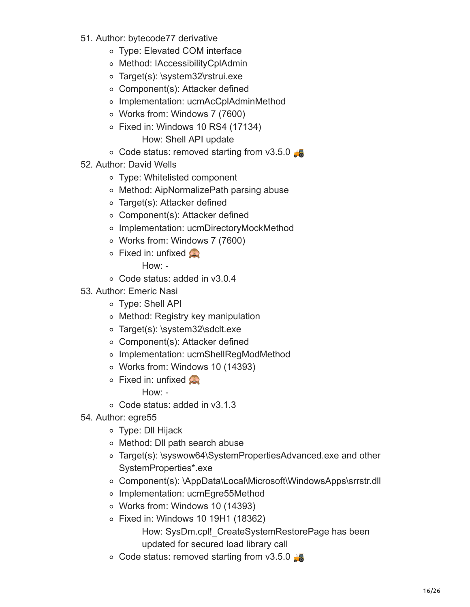- 51. Author: bytecode77 derivative
	- Type: Elevated COM interface
	- o Method: IAccessibilityCplAdmin
	- o Target(s): \system32\rstrui.exe
	- Component(s): Attacker defined
	- o Implementation: ucmAcCplAdminMethod
	- Works from: Windows 7 (7600)
	- $\circ$  Fixed in: Windows 10 RS4 (17134) How: Shell API update
	- $\circ$  Code status: removed starting from v3.5.0
- 52. Author: David Wells
	- Type: Whitelisted component
	- Method: AipNormalizePath parsing abuse
	- Target(s): Attacker defined
	- Component(s): Attacker defined
	- Implementation: ucmDirectoryMockMethod
	- Works from: Windows 7 (7600)
	- $\circ$  Fixed in: unfixed

- Code status: added in v3.0.4
- 53. Author: Emeric Nasi
	- Type: Shell API
	- Method: Registry key manipulation
	- o Target(s): \system32\sdclt.exe
	- Component(s): Attacker defined
	- o Implementation: ucmShellRegModMethod
	- Works from: Windows 10 (14393)
	- $\circ$  Fixed in: unfixed

How: -

- Code status: added in v3.1.3
- 54. Author: egre55
	- Type: Dll Hijack
	- Method: Dll path search abuse
	- Target(s): \syswow64\SystemPropertiesAdvanced.exe and other SystemProperties\*.exe
	- Component(s): \AppData\Local\Microsoft\WindowsApps\srrstr.dll
	- o Implementation: ucmEgre55Method
	- Works from: Windows 10 (14393)
	- Fixed in: Windows 10 19H1 (18362) How: SysDm.cpl! CreateSystemRestorePage has been updated for secured load library call
	- $\circ$  Code status: removed starting from v3.5.0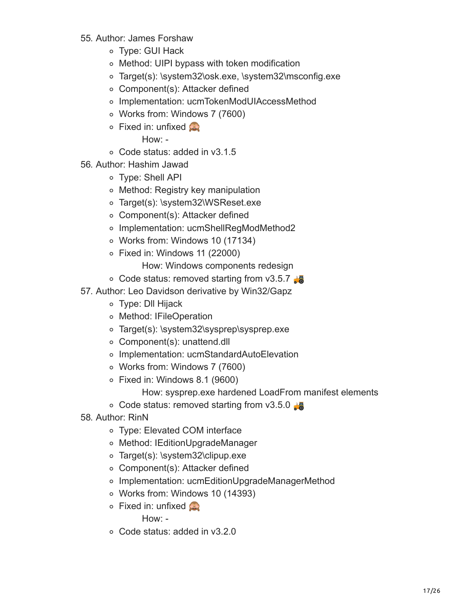- 55. Author: James Forshaw
	- Type: GUI Hack
	- Method: UIPI bypass with token modification
	- Target(s): \system32\osk.exe, \system32\msconfig.exe
	- Component(s): Attacker defined
	- Implementation: ucmTokenModUIAccessMethod
	- Works from: Windows 7 (7600)
	- $\circ$  Fixed in: unfixed

- Code status: added in v3.1.5
- 56. Author: Hashim Jawad
	- Type: Shell API
	- Method: Registry key manipulation
	- Target(s): \system32\WSReset.exe
	- Component(s): Attacker defined
	- o Implementation: ucmShellRegModMethod2
	- Works from: Windows 10 (17134)
	- Fixed in: Windows 11 (22000)
		- How: Windows components redesign
	- $\circ$  Code status: removed starting from v3.5.7
- 57. Author: Leo Davidson derivative by Win32/Gapz
	- Type: Dll Hijack
	- o Method: IFileOperation
	- Target(s): \system32\sysprep\sysprep.exe
	- Component(s): unattend.dll
	- Implementation: ucmStandardAutoElevation
	- Works from: Windows 7 (7600)
	- Fixed in: Windows 8.1 (9600)
		- How: sysprep.exe hardened LoadFrom manifest elements
	- $\circ$  Code status: removed starting from v3.5.0
- 58. Author: RinN
	- Type: Elevated COM interface
	- Method: IEditionUpgradeManager
	- Target(s): \system32\clipup.exe
	- Component(s): Attacker defined
	- Implementation: ucmEditionUpgradeManagerMethod
	- Works from: Windows 10 (14393)
	- **Fixed in: unfixed**

How: -

Code status: added in v3.2.0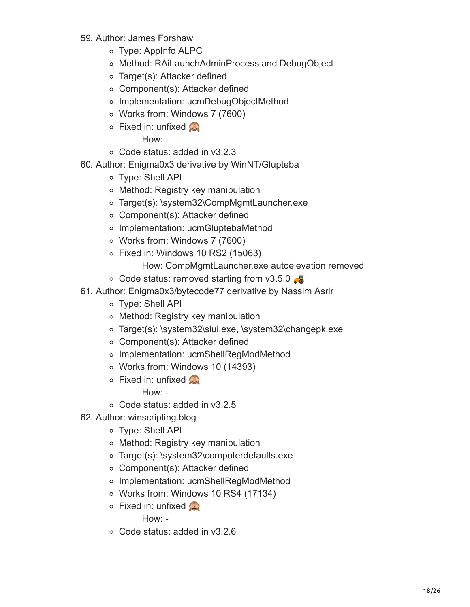- 59. Author: James Forshaw
	- Type: AppInfo ALPC
	- Method: RAiLaunchAdminProcess and DebugObject
	- Target(s): Attacker defined
	- Component(s): Attacker defined
	- o Implementation: ucmDebugObjectMethod
	- Works from: Windows 7 (7600)
	- $\circ$  Fixed in: unfixed

- Code status: added in v3.2.3
- 60. Author: Enigma0x3 derivative by WinNT/Glupteba
	- Type: Shell API
	- Method: Registry key manipulation
	- Target(s): \system32\CompMgmtLauncher.exe
	- Component(s): Attacker defined
	- Implementation: ucmGluptebaMethod
	- Works from: Windows 7 (7600)
	- $\circ$  Fixed in: Windows 10 RS2 (15063)
		- How: CompMgmtLauncher.exe autoelevation removed
	- $\circ$  Code status: removed starting from v3.5.0
- 61. Author: Enigma0x3/bytecode77 derivative by Nassim Asrir
	- Type: Shell API
	- Method: Registry key manipulation
	- Target(s): \system32\slui.exe, \system32\changepk.exe
	- Component(s): Attacker defined
	- o Implementation: ucmShellRegModMethod
	- Works from: Windows 10 (14393)
	- $\circ$  Fixed in: unfixed

How: -

- Code status: added in v3.2.5
- 62. Author: winscripting.blog
	- Type: Shell API
	- Method: Registry key manipulation
	- Target(s): \system32\computerdefaults.exe
	- Component(s): Attacker defined
	- o Implementation: ucmShellRegModMethod
	- Works from: Windows 10 RS4 (17134)
	- **Fixed in: unfixed**

How: -

Code status: added in v3.2.6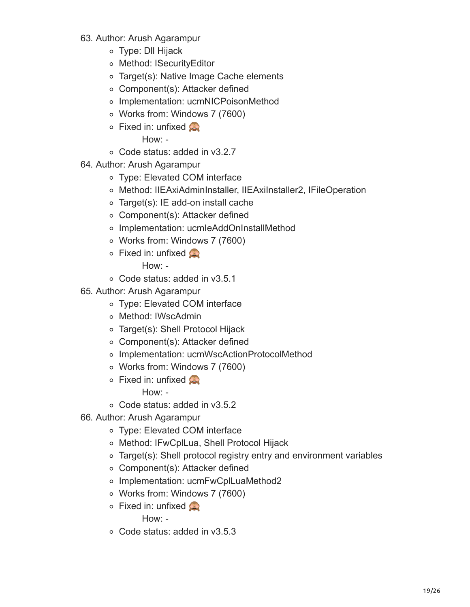- 63. Author: Arush Agarampur
	- Type: Dll Hijack
	- Method: ISecurityEditor
	- Target(s): Native Image Cache elements
	- Component(s): Attacker defined
	- o Implementation: ucmNICPoisonMethod
	- Works from: Windows 7 (7600)
	- $\circ$  Fixed in: unfixed

- Code status: added in v3.2.7
- 64. Author: Arush Agarampur
	- Type: Elevated COM interface
	- Method: IIEAxiAdminInstaller, IIEAxiInstaller2, IFileOperation
	- Target(s): IE add-on install cache
	- Component(s): Attacker defined
	- Implementation: ucmIeAddOnInstallMethod
	- Works from: Windows 7 (7600)
	- $\circ$  Fixed in: unfixed

How: -

- Code status: added in v3.5.1
- 65. Author: Arush Agarampur
	- Type: Elevated COM interface
	- o Method: IWscAdmin
	- Target(s): Shell Protocol Hijack
	- Component(s): Attacker defined
	- Implementation: ucmWscActionProtocolMethod
	- Works from: Windows 7 (7600)
	- $\circ$  Fixed in: unfixed

How: -

- Code status: added in v3.5.2
- 66. Author: Arush Agarampur
	- Type: Elevated COM interface
	- Method: IFwCplLua, Shell Protocol Hijack
	- Target(s): Shell protocol registry entry and environment variables
	- Component(s): Attacker defined
	- o Implementation: ucmFwCplLuaMethod2
	- Works from: Windows 7 (7600)
	- **Fixed in: unfixed**

How: -

Code status: added in v3.5.3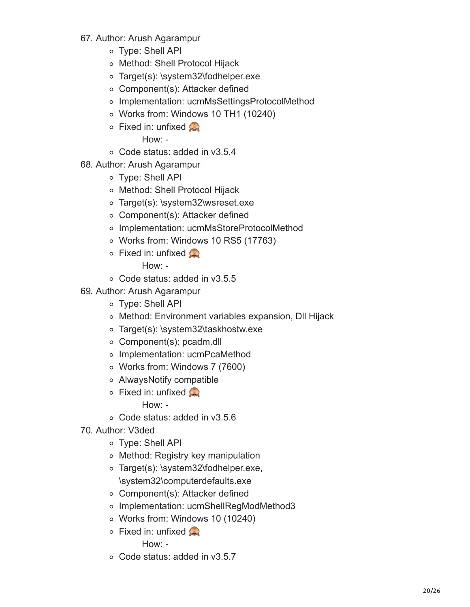- 67. Author: Arush Agarampur
	- Type: Shell API
	- Method: Shell Protocol Hijack
	- Target(s): \system32\fodhelper.exe
	- Component(s): Attacker defined
	- o Implementation: ucmMsSettingsProtocolMethod
	- Works from: Windows 10 TH1 (10240)
	- $\circ$  Fixed in: unfixed

- Code status: added in v3.5.4
- 68. Author: Arush Agarampur
	- Type: Shell API
	- Method: Shell Protocol Hijack
	- Target(s): \system32\wsreset.exe
	- Component(s): Attacker defined
	- Implementation: ucmMsStoreProtocolMethod
	- Works from: Windows 10 RS5 (17763)
	- $\circ$  Fixed in: unfixed

How: -

- Code status: added in v3.5.5
- 69. Author: Arush Agarampur
	- Type: Shell API
	- Method: Environment variables expansion, Dll Hijack
	- Target(s): \system32\taskhostw.exe
	- Component(s): pcadm.dll
	- Implementation: ucmPcaMethod
	- Works from: Windows 7 (7600)
	- AlwaysNotify compatible
	- **Fixed in: unfixed** 
		- How: -
	- Code status: added in v3.5.6
- 70. Author: V3ded
	- Type: Shell API
	- Method: Registry key manipulation
	- o Target(s): \system32\fodhelper.exe, \system32\computerdefaults.exe
	- Component(s): Attacker defined
	- o Implementation: ucmShellRegModMethod3
	- Works from: Windows 10 (10240)
	- $\circ$  Fixed in: unfixed

How: -

Code status: added in v3.5.7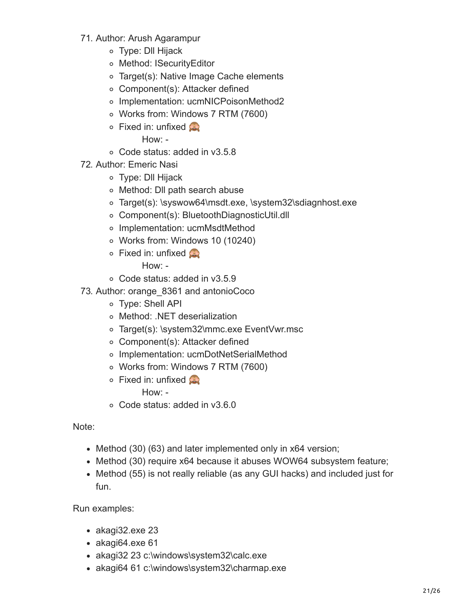- 71. Author: Arush Agarampur
	- Type: Dll Hijack
	- Method: ISecurityEditor
	- Target(s): Native Image Cache elements
	- Component(s): Attacker defined
	- o Implementation: ucmNICPoisonMethod2
	- Works from: Windows 7 RTM (7600)
	- $\circ$  Fixed in: unfixed

- Code status: added in v3.5.8
- 72. Author: Emeric Nasi
	- Type: Dll Hijack
	- Method: Dll path search abuse
	- o Target(s): \syswow64\msdt.exe, \system32\sdiagnhost.exe
	- Component(s): BluetoothDiagnosticUtil.dll
	- Implementation: ucmMsdtMethod
	- Works from: Windows 10 (10240)
	- $\circ$  Fixed in: unfixed

How: -

- Code status: added in v3.5.9
- 73. Author: orange\_8361 and antonioCoco
	- Type: Shell API
	- Method: .NET deserialization
	- Target(s): \system32\mmc.exe EventVwr.msc
	- Component(s): Attacker defined
	- o Implementation: ucmDotNetSerialMethod
	- Works from: Windows 7 RTM (7600)
	- $\circ$  Fixed in: unfixed

How: -

Code status: added in v3.6.0

Note:

- Method (30) (63) and later implemented only in x64 version;
- Method (30) require x64 because it abuses WOW64 subsystem feature;
- Method (55) is not really reliable (as any GUI hacks) and included just for fun.

Run examples:

- akagi32.exe 23
- $\bullet$  akagi64.exe 61
- akagi32 23 c:\windows\system32\calc.exe
- akagi64 61 c:\windows\system32\charmap.exe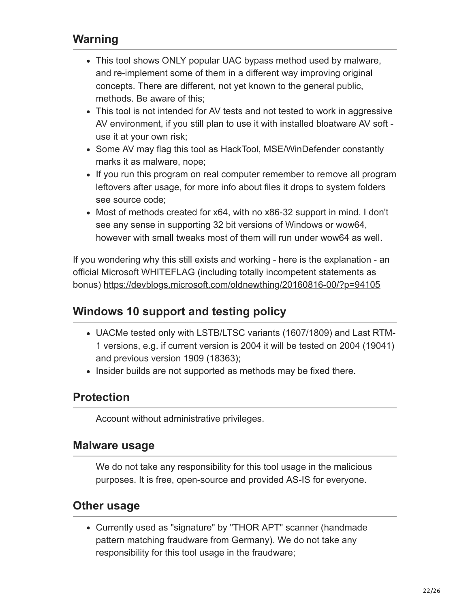## **Warning**

- This tool shows ONLY popular UAC bypass method used by malware, and re-implement some of them in a different way improving original concepts. There are different, not yet known to the general public, methods. Be aware of this;
- This tool is not intended for AV tests and not tested to work in aggressive AV environment, if you still plan to use it with installed bloatware AV soft use it at your own risk;
- Some AV may flag this tool as HackTool, MSE/WinDefender constantly marks it as malware, nope;
- If you run this program on real computer remember to remove all program leftovers after usage, for more info about files it drops to system folders see source code;
- Most of methods created for x64, with no x86-32 support in mind. I don't see any sense in supporting 32 bit versions of Windows or wow64, however with small tweaks most of them will run under wow64 as well.

If you wondering why this still exists and working - here is the explanation - an official Microsoft WHITEFLAG (including totally incompetent statements as bonus)<https://devblogs.microsoft.com/oldnewthing/20160816-00/?p=94105>

#### **Windows 10 support and testing policy**

- UACMe tested only with LSTB/LTSC variants (1607/1809) and Last RTM-1 versions, e.g. if current version is 2004 it will be tested on 2004 (19041) and previous version 1909 (18363);
- Insider builds are not supported as methods may be fixed there.

## **Protection**

Account without administrative privileges.

#### **Malware usage**

We do not take any responsibility for this tool usage in the malicious purposes. It is free, open-source and provided AS-IS for everyone.

#### **Other usage**

Currently used as "signature" by "THOR APT" scanner (handmade pattern matching fraudware from Germany). We do not take any responsibility for this tool usage in the fraudware;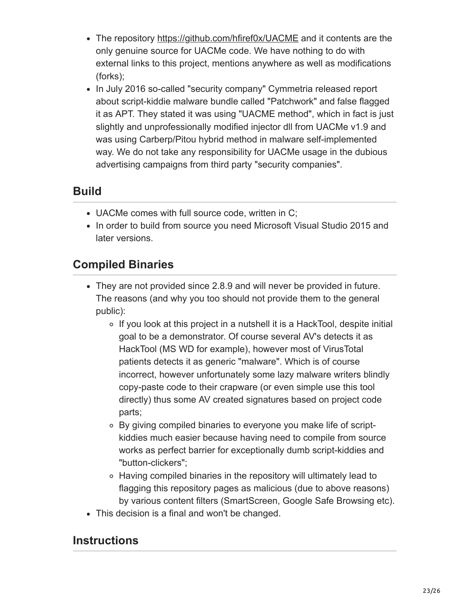- The repository <https://github.com/hfiref0x/UACME> and it contents are the only genuine source for UACMe code. We have nothing to do with external links to this project, mentions anywhere as well as modifications (forks);
- In July 2016 so-called "security company" Cymmetria released report about script-kiddie malware bundle called "Patchwork" and false flagged it as APT. They stated it was using "UACME method", which in fact is just slightly and unprofessionally modified injector dll from UACMe v1.9 and was using Carberp/Pitou hybrid method in malware self-implemented way. We do not take any responsibility for UACMe usage in the dubious advertising campaigns from third party "security companies".

# **Build**

- UACMe comes with full source code, written in C;
- In order to build from source you need Microsoft Visual Studio 2015 and later versions.

# **Compiled Binaries**

- They are not provided since 2.8.9 and will never be provided in future. The reasons (and why you too should not provide them to the general public):
	- ∘ If you look at this project in a nutshell it is a HackTool, despite initial goal to be a demonstrator. Of course several AV's detects it as HackTool (MS WD for example), however most of VirusTotal patients detects it as generic "malware". Which is of course incorrect, however unfortunately some lazy malware writers blindly copy-paste code to their crapware (or even simple use this tool directly) thus some AV created signatures based on project code parts;
	- By giving compiled binaries to everyone you make life of scriptkiddies much easier because having need to compile from source works as perfect barrier for exceptionally dumb script-kiddies and "button-clickers";
	- Having compiled binaries in the repository will ultimately lead to flagging this repository pages as malicious (due to above reasons) by various content filters (SmartScreen, Google Safe Browsing etc).
- This decision is a final and won't be changed.

#### **Instructions**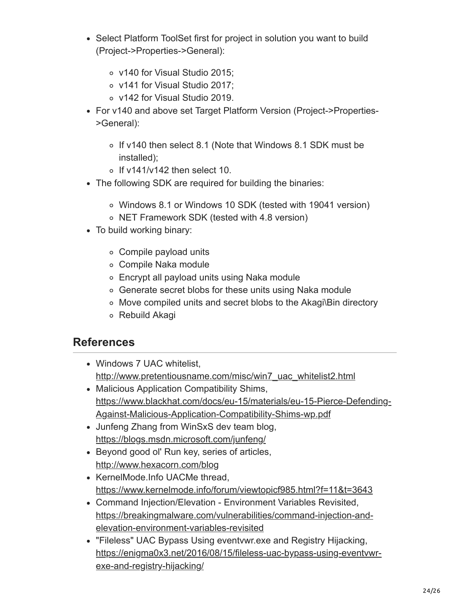- Select Platform ToolSet first for project in solution you want to build (Project->Properties->General):
	- v140 for Visual Studio 2015;
	- v141 for Visual Studio 2017;
	- v142 for Visual Studio 2019.
- For v140 and above set Target Platform Version (Project->Properties- >General):
	- o If v140 then select 8.1 (Note that Windows 8.1 SDK must be installed);
	- $\circ$  If v141/v142 then select 10.
- The following SDK are required for building the binaries:
	- Windows 8.1 or Windows 10 SDK (tested with 19041 version)
	- NET Framework SDK (tested with 4.8 version)
- To build working binary:
	- Compile payload units
	- Compile Naka module
	- Encrypt all payload units using Naka module
	- Generate secret blobs for these units using Naka module
	- Move compiled units and secret blobs to the Akagi\Bin directory
	- Rebuild Akagi

#### **References**

- Windows 7 UAC whitelist. [http://www.pretentiousname.com/misc/win7\\_uac\\_whitelist2.html](http://www.pretentiousname.com/misc/win7_uac_whitelist2.html)
- Malicious Application Compatibility Shims, [https://www.blackhat.com/docs/eu-15/materials/eu-15-Pierce-Defending-](https://www.blackhat.com/docs/eu-15/materials/eu-15-Pierce-Defending-Against-Malicious-Application-Compatibility-Shims-wp.pdf)Against-Malicious-Application-Compatibility-Shims-wp.pdf
- Junfeng Zhang from WinSxS dev team blog, <https://blogs.msdn.microsoft.com/junfeng/>
- Beyond good ol' Run key, series of articles, <http://www.hexacorn.com/blog>
- KernelMode.Info UACMe thread, <https://www.kernelmode.info/forum/viewtopicf985.html?f=11&t=3643>
- Command Injection/Elevation Environment Variables Revisited, [https://breakingmalware.com/vulnerabilities/command-injection-and](https://breakingmalware.com/vulnerabilities/command-injection-and-elevation-environment-variables-revisited)elevation-environment-variables-revisited
- "Fileless" UAC Bypass Using eventvwr.exe and Registry Hijacking, [https://enigma0x3.net/2016/08/15/fileless-uac-bypass-using-eventvwr](https://enigma0x3.net/2016/08/15/fileless-uac-bypass-using-eventvwr-exe-and-registry-hijacking/)exe-and-registry-hijacking/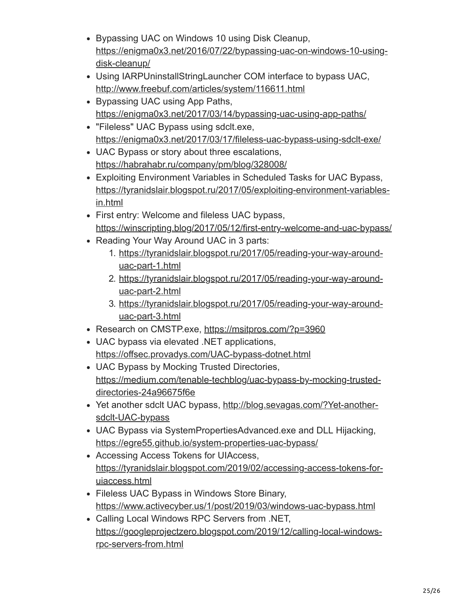- Bypassing UAC on Windows 10 using Disk Cleanup, [https://enigma0x3.net/2016/07/22/bypassing-uac-on-windows-10-using](https://enigma0x3.net/2016/07/22/bypassing-uac-on-windows-10-using-disk-cleanup/)disk-cleanup/
- Using IARPUninstallStringLauncher COM interface to bypass UAC, <http://www.freebuf.com/articles/system/116611.html>
- Bypassing UAC using App Paths, <https://enigma0x3.net/2017/03/14/bypassing-uac-using-app-paths/>
- "Fileless" UAC Bypass using sdclt.exe, <https://enigma0x3.net/2017/03/17/fileless-uac-bypass-using-sdclt-exe/>
- UAC Bypass or story about three escalations, <https://habrahabr.ru/company/pm/blog/328008/>
- Exploiting Environment Variables in Scheduled Tasks for UAC Bypass, [https://tyranidslair.blogspot.ru/2017/05/exploiting-environment-variables](https://tyranidslair.blogspot.ru/2017/05/exploiting-environment-variables-in.html)in.html
- First entry: Welcome and fileless UAC bypass, <https://winscripting.blog/2017/05/12/first-entry-welcome-and-uac-bypass/>
- Reading Your Way Around UAC in 3 parts:
	- 1. [https://tyranidslair.blogspot.ru/2017/05/reading-your-way-around](https://tyranidslair.blogspot.ru/2017/05/reading-your-way-around-uac-part-1.html)uac-part-1.html
	- 2. [https://tyranidslair.blogspot.ru/2017/05/reading-your-way-around](https://tyranidslair.blogspot.ru/2017/05/reading-your-way-around-uac-part-2.html)uac-part-2.html
	- 3. [https://tyranidslair.blogspot.ru/2017/05/reading-your-way-around](https://tyranidslair.blogspot.ru/2017/05/reading-your-way-around-uac-part-3.html)uac-part-3.html
- Research on CMSTP.exe,<https://msitpros.com/?p=3960>
- UAC bypass via elevated .NET applications, <https://offsec.provadys.com/UAC-bypass-dotnet.html>
- UAC Bypass by Mocking Trusted Directories, [https://medium.com/tenable-techblog/uac-bypass-by-mocking-trusted](https://medium.com/tenable-techblog/uac-bypass-by-mocking-trusted-directories-24a96675f6e)directories-24a96675f6e
- [Yet another sdclt UAC bypass, http://blog.sevagas.com/?Yet-another](http://blog.sevagas.com/?Yet-another-sdclt-UAC-bypass)sdclt-UAC-bypass
- UAC Bypass via SystemPropertiesAdvanced.exe and DLL Hijacking, <https://egre55.github.io/system-properties-uac-bypass/>
- Accessing Access Tokens for UIAccess, [https://tyranidslair.blogspot.com/2019/02/accessing-access-tokens-for](https://tyranidslair.blogspot.com/2019/02/accessing-access-tokens-for-uiaccess.html)uiaccess.html
- Fileless UAC Bypass in Windows Store Binary, <https://www.activecyber.us/1/post/2019/03/windows-uac-bypass.html>
- Calling Local Windows RPC Servers from .NET, [https://googleprojectzero.blogspot.com/2019/12/calling-local-windows](https://googleprojectzero.blogspot.com/2019/12/calling-local-windows-rpc-servers-from.html)rpc-servers-from.html